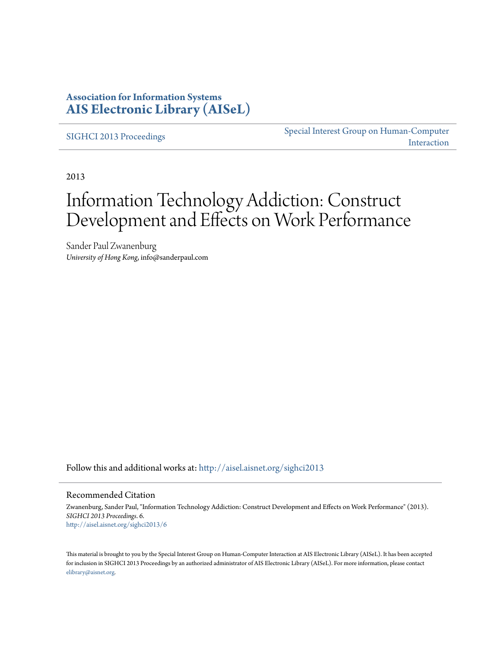### **Association for Information Systems [AIS Electronic Library \(AISeL\)](http://aisel.aisnet.org?utm_source=aisel.aisnet.org%2Fsighci2013%2F6&utm_medium=PDF&utm_campaign=PDFCoverPages)**

[SIGHCI 2013 Proceedings](http://aisel.aisnet.org/sighci2013?utm_source=aisel.aisnet.org%2Fsighci2013%2F6&utm_medium=PDF&utm_campaign=PDFCoverPages)

[Special Interest Group on Human-Computer](http://aisel.aisnet.org/sighci?utm_source=aisel.aisnet.org%2Fsighci2013%2F6&utm_medium=PDF&utm_campaign=PDFCoverPages) [Interaction](http://aisel.aisnet.org/sighci?utm_source=aisel.aisnet.org%2Fsighci2013%2F6&utm_medium=PDF&utm_campaign=PDFCoverPages)

2013

# Information Technology Addiction: Construct Development and Effects on Work Performance

Sander Paul Zwanenburg *University of Hong Kong*, info@sanderpaul.com

Follow this and additional works at: [http://aisel.aisnet.org/sighci2013](http://aisel.aisnet.org/sighci2013?utm_source=aisel.aisnet.org%2Fsighci2013%2F6&utm_medium=PDF&utm_campaign=PDFCoverPages)

#### Recommended Citation

Zwanenburg, Sander Paul, "Information Technology Addiction: Construct Development and Effects on Work Performance" (2013). *SIGHCI 2013 Proceedings*. 6. [http://aisel.aisnet.org/sighci2013/6](http://aisel.aisnet.org/sighci2013/6?utm_source=aisel.aisnet.org%2Fsighci2013%2F6&utm_medium=PDF&utm_campaign=PDFCoverPages)

This material is brought to you by the Special Interest Group on Human-Computer Interaction at AIS Electronic Library (AISeL). It has been accepted for inclusion in SIGHCI 2013 Proceedings by an authorized administrator of AIS Electronic Library (AISeL). For more information, please contact [elibrary@aisnet.org.](mailto:elibrary@aisnet.org%3E)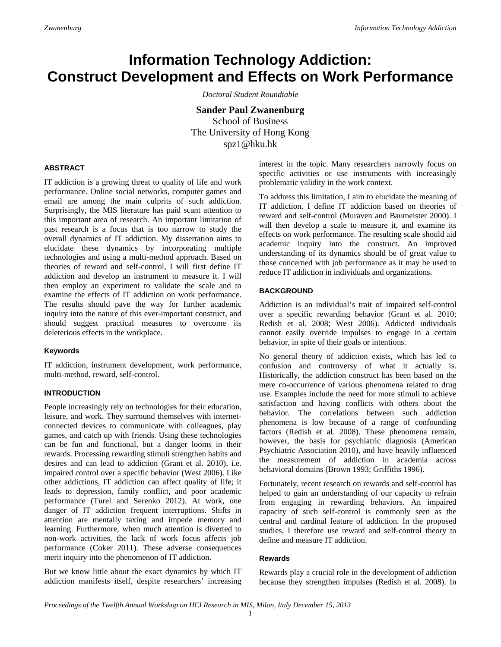## **Information Technology Addiction: Construct Development and Effects on Work Performance**

*Doctoral Student Roundtable* 

**Sander Paul Zwanenburg**  School of Business The University of Hong Kong spz1@hku.hk

#### **ABSTRACT**

IT addiction is a growing threat to quality of life and work performance. Online social networks, computer games and email are among the main culprits of such addiction. Surprisingly, the MIS literature has paid scant attention to this important area of research. An important limitation of past research is a focus that is too narrow to study the overall dynamics of IT addiction. My dissertation aims to elucidate these dynamics by incorporating multiple technologies and using a multi-method approach. Based on theories of reward and self-control, I will first define IT addiction and develop an instrument to measure it. I will then employ an experiment to validate the scale and to examine the effects of IT addiction on work performance. The results should pave the way for further academic inquiry into the nature of this ever-important construct, and should suggest practical measures to overcome its deleterious effects in the workplace.

#### **Keywords**

IT addiction, instrument development, work performance, multi-method, reward, self-control.

#### **INTRODUCTION**

People increasingly rely on technologies for their education, leisure, and work. They surround themselves with internetconnected devices to communicate with colleagues, play games, and catch up with friends. Using these technologies can be fun and functional, but a danger looms in their rewards. Processing rewarding stimuli strengthen habits and desires and can lead to addiction (Grant et al. 2010), i.e. impaired control over a specific behavior (West 2006). Like other addictions, IT addiction can affect quality of life; it leads to depression, family conflict, and poor academic performance (Turel and Serenko 2012). At work, one danger of IT addiction frequent interruptions. Shifts in attention are mentally taxing and impede memory and learning. Furthermore, when much attention is diverted to non-work activities, the lack of work focus affects job performance (Coker 2011). These adverse consequences merit inquiry into the phenomenon of IT addiction.

But we know little about the exact dynamics by which IT addiction manifests itself, despite researchers' increasing interest in the topic. Many researchers narrowly focus on specific activities or use instruments with increasingly problematic validity in the work context.

To address this limitation, I aim to elucidate the meaning of IT addiction. I define IT addiction based on theories of reward and self-control (Muraven and Baumeister 2000). I will then develop a scale to measure it, and examine its effects on work performance. The resulting scale should aid academic inquiry into the construct. An improved understanding of its dynamics should be of great value to those concerned with job performance as it may be used to reduce IT addiction in individuals and organizations.

#### **BACKGROUND**

Addiction is an individual's trait of impaired self-control over a specific rewarding behavior (Grant et al. 2010; Redish et al. 2008; West 2006). Addicted individuals cannot easily override impulses to engage in a certain behavior, in spite of their goals or intentions.

No general theory of addiction exists, which has led to confusion and controversy of what it actually is. Historically, the addiction construct has been based on the mere co-occurrence of various phenomena related to drug use. Examples include the need for more stimuli to achieve satisfaction and having conflicts with others about the behavior. The correlations between such addiction phenomena is low because of a range of confounding factors (Redish et al. 2008). These phenomena remain, however, the basis for psychiatric diagnosis (American Psychiatric Association 2010), and have heavily influenced the measurement of addiction in academia across behavioral domains (Brown 1993; Griffiths 1996).

Fortunately, recent research on rewards and self-control has helped to gain an understanding of our capacity to refrain from engaging in rewarding behaviors. An impaired capacity of such self-control is commonly seen as the central and cardinal feature of addiction. In the proposed studies, I therefore use reward and self-control theory to define and measure IT addiction.

#### **Rewards**

Rewards play a crucial role in the development of addiction because they strengthen impulses (Redish et al. 2008). In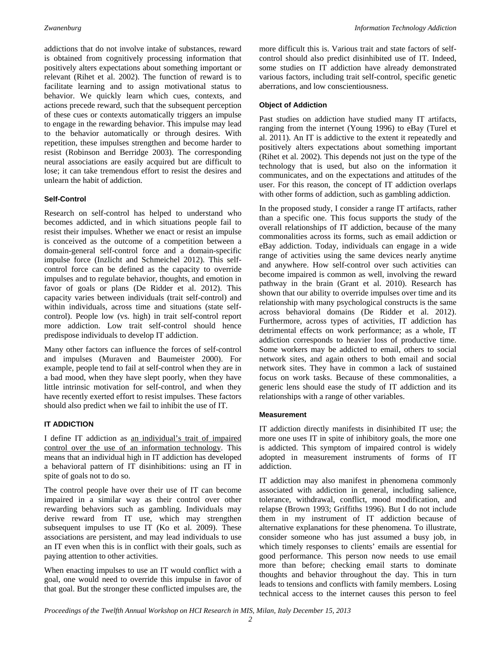addictions that do not involve intake of substances, reward is obtained from cognitively processing information that positively alters expectations about something important or relevant (Rihet et al. 2002). The function of reward is to facilitate learning and to assign motivational status to behavior. We quickly learn which cues, contexts, and actions precede reward, such that the subsequent perception of these cues or contexts automatically triggers an impulse to engage in the rewarding behavior. This impulse may lead to the behavior automatically or through desires. With repetition, these impulses strengthen and become harder to resist (Robinson and Berridge 2003). The corresponding neural associations are easily acquired but are difficult to lose; it can take tremendous effort to resist the desires and unlearn the habit of addiction.

#### **Self-Control**

Research on self-control has helped to understand who becomes addicted, and in which situations people fail to resist their impulses. Whether we enact or resist an impulse is conceived as the outcome of a competition between a domain-general self-control force and a domain-specific impulse force (Inzlicht and Schmeichel 2012). This selfcontrol force can be defined as the capacity to override impulses and to regulate behavior, thoughts, and emotion in favor of goals or plans (De Ridder et al. 2012). This capacity varies between individuals (trait self-control) and within individuals, across time and situations (state selfcontrol). People low (vs. high) in trait self-control report more addiction. Low trait self-control should hence predispose individuals to develop IT addiction.

Many other factors can influence the forces of self-control and impulses (Muraven and Baumeister 2000). For example, people tend to fail at self-control when they are in a bad mood, when they have slept poorly, when they have little intrinsic motivation for self-control, and when they have recently exerted effort to resist impulses. These factors should also predict when we fail to inhibit the use of IT.

#### **IT ADDICTION**

I define IT addiction as an individual's trait of impaired control over the use of an information technology. This means that an individual high in IT addiction has developed a behavioral pattern of IT disinhibitions: using an IT in spite of goals not to do so.

The control people have over their use of IT can become impaired in a similar way as their control over other rewarding behaviors such as gambling. Individuals may derive reward from IT use, which may strengthen subsequent impulses to use IT (Ko et al. 2009). These associations are persistent, and may lead individuals to use an IT even when this is in conflict with their goals, such as paying attention to other activities.

When enacting impulses to use an IT would conflict with a goal, one would need to override this impulse in favor of that goal. But the stronger these conflicted impulses are, the

more difficult this is. Various trait and state factors of selfcontrol should also predict disinhibited use of IT. Indeed, some studies on IT addiction have already demonstrated various factors, including trait self-control, specific genetic aberrations, and low conscientiousness.

#### **Object of Addiction**

Past studies on addiction have studied many IT artifacts, ranging from the internet (Young 1996) to eBay (Turel et al. 2011). An IT is addictive to the extent it repeatedly and positively alters expectations about something important (Rihet et al. 2002). This depends not just on the type of the technology that is used, but also on the information it communicates, and on the expectations and attitudes of the user. For this reason, the concept of IT addiction overlaps with other forms of addiction, such as gambling addiction.

In the proposed study, I consider a range IT artifacts, rather than a specific one. This focus supports the study of the overall relationships of IT addiction, because of the many commonalities across its forms, such as email addiction or eBay addiction. Today, individuals can engage in a wide range of activities using the same devices nearly anytime and anywhere. How self-control over such activities can become impaired is common as well, involving the reward pathway in the brain (Grant et al. 2010). Research has shown that our ability to override impulses over time and its relationship with many psychological constructs is the same across behavioral domains (De Ridder et al. 2012). Furthermore, across types of activities, IT addiction has detrimental effects on work performance; as a whole, IT addiction corresponds to heavier loss of productive time. Some workers may be addicted to email, others to social network sites, and again others to both email and social network sites. They have in common a lack of sustained focus on work tasks. Because of these commonalities, a generic lens should ease the study of IT addiction and its relationships with a range of other variables.

#### **Measurement**

IT addiction directly manifests in disinhibited IT use; the more one uses IT in spite of inhibitory goals, the more one is addicted. This symptom of impaired control is widely adopted in measurement instruments of forms of IT addiction.

IT addiction may also manifest in phenomena commonly associated with addiction in general, including salience, tolerance, withdrawal, conflict, mood modification, and relapse (Brown 1993; Griffiths 1996). But I do not include them in my instrument of IT addiction because of alternative explanations for these phenomena. To illustrate, consider someone who has just assumed a busy job, in which timely responses to clients' emails are essential for good performance. This person now needs to use email more than before; checking email starts to dominate thoughts and behavior throughout the day. This in turn leads to tensions and conflicts with family members. Losing technical access to the internet causes this person to feel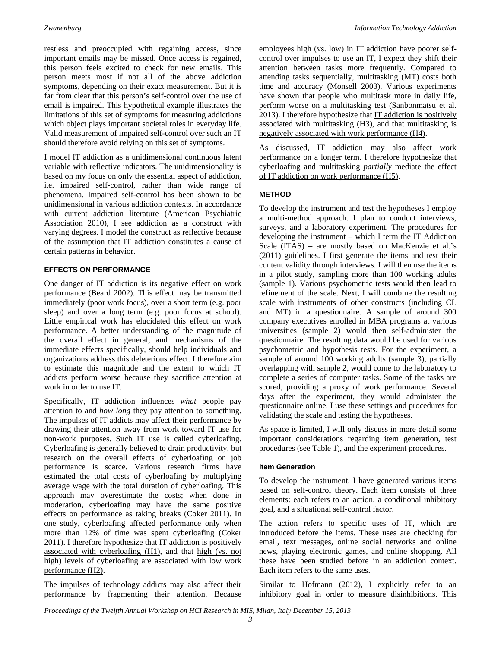restless and preoccupied with regaining access, since important emails may be missed. Once access is regained, this person feels excited to check for new emails. This person meets most if not all of the above addiction symptoms, depending on their exact measurement. But it is far from clear that this person's self-control over the use of email is impaired. This hypothetical example illustrates the limitations of this set of symptoms for measuring addictions which object plays important societal roles in everyday life. Valid measurement of impaired self-control over such an IT should therefore avoid relying on this set of symptoms.

I model IT addiction as a unidimensional continuous latent variable with reflective indicators. The unidimensionality is based on my focus on only the essential aspect of addiction, i.e. impaired self-control, rather than wide range of phenomena. Impaired self-control has been shown to be unidimensional in various addiction contexts. In accordance with current addiction literature (American Psychiatric Association 2010), I see addiction as a construct with varying degrees. I model the construct as reflective because of the assumption that IT addiction constitutes a cause of certain patterns in behavior.

#### **EFFECTS ON PERFORMANCE**

One danger of IT addiction is its negative effect on work performance (Beard 2002). This effect may be transmitted immediately (poor work focus), over a short term (e.g. poor sleep) and over a long term (e.g. poor focus at school). Little empirical work has elucidated this effect on work performance. A better understanding of the magnitude of the overall effect in general, and mechanisms of the immediate effects specifically, should help individuals and organizations address this deleterious effect. I therefore aim to estimate this magnitude and the extent to which IT addicts perform worse because they sacrifice attention at work in order to use IT.

Specifically, IT addiction influences *what* people pay attention to and *how long* they pay attention to something. The impulses of IT addicts may affect their performance by drawing their attention away from work toward IT use for non-work purposes. Such IT use is called cyberloafing. Cyberloafing is generally believed to drain productivity, but research on the overall effects of cyberloafing on job performance is scarce. Various research firms have estimated the total costs of cyberloafing by multiplying average wage with the total duration of cyberloafing. This approach may overestimate the costs; when done in moderation, cyberloafing may have the same positive effects on performance as taking breaks (Coker 2011). In one study, cyberloafing affected performance only when more than 12% of time was spent cyberloafing (Coker  $2011$ ). I therefore hypothesize that  $IT$  addiction is positively associated with cyberloafing (H1), and that high (vs. not high) levels of cyberloafing are associated with low work performance (H2).

The impulses of technology addicts may also affect their performance by fragmenting their attention. Because employees high (vs. low) in IT addiction have poorer selfcontrol over impulses to use an IT, I expect they shift their attention between tasks more frequently. Compared to attending tasks sequentially, multitasking (MT) costs both time and accuracy (Monsell 2003). Various experiments have shown that people who multitask more in daily life, perform worse on a multitasking test (Sanbonmatsu et al. 2013). I therefore hypothesize that IT addiction is positively associated with multitasking (H3), and that multitasking is negatively associated with work performance (H4).

As discussed, IT addiction may also affect work performance on a longer term. I therefore hypothesize that cyberloafing and multitasking *partially* mediate the effect of IT addiction on work performance (H5).

#### **METHOD**

To develop the instrument and test the hypotheses I employ a multi-method approach. I plan to conduct interviews, surveys, and a laboratory experiment. The procedures for developing the instrument – which I term the IT Addiction Scale (ITAS) – are mostly based on MacKenzie et al.'s (2011) guidelines. I first generate the items and test their content validity through interviews. I will then use the items in a pilot study, sampling more than 100 working adults (sample 1). Various psychometric tests would then lead to refinement of the scale. Next, I will combine the resulting scale with instruments of other constructs (including CL and MT) in a questionnaire. A sample of around 300 company executives enrolled in MBA programs at various universities (sample 2) would then self-administer the questionnaire. The resulting data would be used for various psychometric and hypothesis tests. For the experiment, a sample of around 100 working adults (sample 3), partially overlapping with sample 2, would come to the laboratory to complete a series of computer tasks. Some of the tasks are scored, providing a proxy of work performance. Several days after the experiment, they would administer the questionnaire online. I use these settings and procedures for validating the scale and testing the hypotheses.

As space is limited, I will only discuss in more detail some important considerations regarding item generation, test procedures (see Table 1), and the experiment procedures.

#### **Item Generation**

To develop the instrument, I have generated various items based on self-control theory. Each item consists of three elements: each refers to an action, a conditional inhibitory goal, and a situational self-control factor.

The action refers to specific uses of IT, which are introduced before the items. These uses are checking for email, text messages, online social networks and online news, playing electronic games, and online shopping. All these have been studied before in an addiction context. Each item refers to the same uses.

Similar to Hofmann (2012), I explicitly refer to an inhibitory goal in order to measure disinhibitions. This

*Proceedings of the Twelfth Annual Workshop on HCI Research in MIS, Milan, Italy December 15, 2013*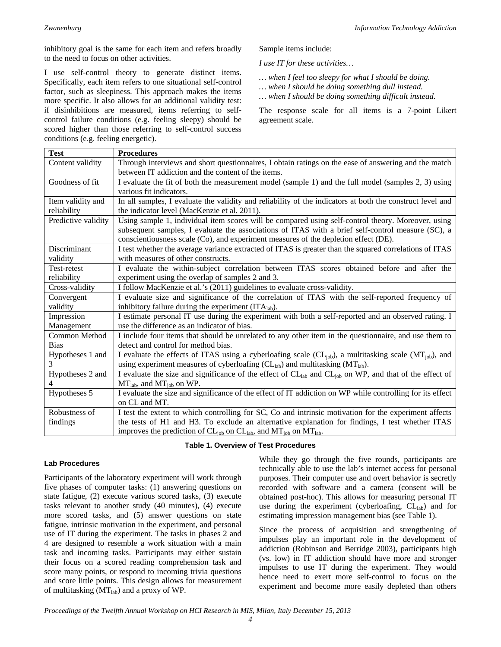inhibitory goal is the same for each item and refers broadly to the need to focus on other activities.

I use self-control theory to generate distinct items. Specifically, each item refers to one situational self-control factor, such as sleepiness. This approach makes the items more specific. It also allows for an additional validity test: if disinhibitions are measured, items referring to selfcontrol failure conditions (e.g. feeling sleepy) should be scored higher than those referring to self-control success conditions (e.g. feeling energetic).

Sample items include:

*I use IT for these activities…* 

- *… when I feel too sleepy for what I should be doing.*
- *… when I should be doing something dull instead.*
- *… when I should be doing something difficult instead.*

The response scale for all items is a 7-point Likert agreement scale.

| <b>Test</b>         | <b>Procedures</b>                                                                                                              |
|---------------------|--------------------------------------------------------------------------------------------------------------------------------|
| Content validity    | Through interviews and short questionnaires, I obtain ratings on the ease of answering and the match                           |
|                     | between IT addiction and the content of the items.                                                                             |
| Goodness of fit     | I evaluate the fit of both the measurement model (sample 1) and the full model (samples 2, 3) using                            |
|                     | various fit indicators.                                                                                                        |
| Item validity and   | In all samples, I evaluate the validity and reliability of the indicators at both the construct level and                      |
| reliability         | the indicator level (MacKenzie et al. 2011).                                                                                   |
| Predictive validity | Using sample 1, individual item scores will be compared using self-control theory. Moreover, using                             |
|                     | subsequent samples, I evaluate the associations of ITAS with a brief self-control measure (SC), a                              |
|                     | conscientiousness scale (Co), and experiment measures of the depletion effect (DE).                                            |
| Discriminant        | I test whether the average variance extracted of ITAS is greater than the squared correlations of ITAS                         |
| validity            | with measures of other constructs.                                                                                             |
| Test-retest         | I evaluate the within-subject correlation between ITAS scores obtained before and after the                                    |
| reliability         | experiment using the overlap of samples 2 and 3.                                                                               |
| Cross-validity      | I follow MacKenzie et al.'s (2011) guidelines to evaluate cross-validity.                                                      |
| Convergent          | I evaluate size and significance of the correlation of ITAS with the self-reported frequency of                                |
| validity            | inhibitory failure during the experiment (ITAlab).                                                                             |
| Impression          | I estimate personal IT use during the experiment with both a self-reported and an observed rating. I                           |
| Management          | use the difference as an indicator of bias.                                                                                    |
| Common Method       | I include four items that should be unrelated to any other item in the questionnaire, and use them to                          |
| <b>Bias</b>         | detect and control for method bias.                                                                                            |
| Hypotheses 1 and    | I evaluate the effects of ITAS using a cyberloafing scale $(CL_{job})$ , a multitasking scale $(MT_{job})$ , and               |
| 3                   | using experiment measures of cyberloafing $(C_{\text{Lab}})$ and multitasking $(MT_{\text{lab}})$ .                            |
| Hypotheses 2 and    | I evaluate the size and significance of the effect of CL <sub>lab</sub> and CL <sub>job</sub> on WP, and that of the effect of |
| 4                   | $MTlab$ , and $MTjob$ on WP.                                                                                                   |
| Hypotheses 5        | I evaluate the size and significance of the effect of IT addiction on WP while controlling for its effect                      |
|                     | on CL and MT.                                                                                                                  |
| Robustness of       | I test the extent to which controlling for SC, Co and intrinsic motivation for the experiment affects                          |
| findings            | the tests of H1 and H3. To exclude an alternative explanation for findings, I test whether ITAS                                |
|                     | improves the prediction of $CL_{job}$ on $CL_{lab}$ , and $MT_{job}$ on $MT_{lab}$ .                                           |

**Table 1. Overview of Test Procedures** 

#### **Lab Procedures**

Participants of the laboratory experiment will work through five phases of computer tasks: (1) answering questions on state fatigue, (2) execute various scored tasks, (3) execute tasks relevant to another study (40 minutes), (4) execute more scored tasks, and (5) answer questions on state fatigue, intrinsic motivation in the experiment, and personal use of IT during the experiment. The tasks in phases 2 and 4 are designed to resemble a work situation with a main task and incoming tasks. Participants may either sustain their focus on a scored reading comprehension task and score many points, or respond to incoming trivia questions and score little points. This design allows for measurement of multitasking  $(MT<sub>lab</sub>)$  and a proxy of WP.

While they go through the five rounds, participants are technically able to use the lab's internet access for personal purposes. Their computer use and overt behavior is secretly recorded with software and a camera (consent will be obtained post-hoc). This allows for measuring personal IT use during the experiment (cyberloafing,  $CL<sub>lab</sub>$ ) and for estimating impression management bias (see Table 1).

Since the process of acquisition and strengthening of impulses play an important role in the development of addiction (Robinson and Berridge 2003), participants high (vs. low) in IT addiction should have more and stronger impulses to use IT during the experiment. They would hence need to exert more self-control to focus on the experiment and become more easily depleted than others